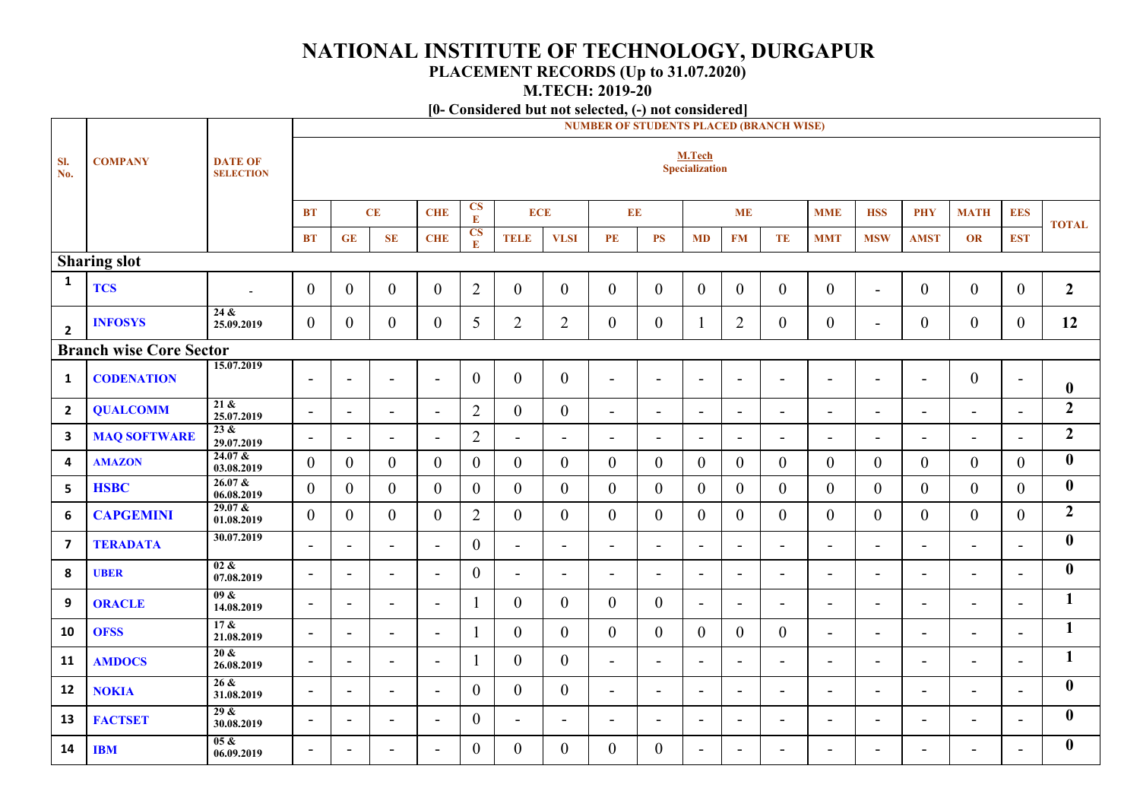## **NATIONAL INSTITUTE OF TECHNOLOGY, DURGAPUR**

## **PLACEMENT RECORDS (Up to 31.07.2020)**

**M.TECH: 2019-20**

**[0- Considered but not selected, (-) not considered]**

|                                | <b>NUMBER OF STUDENTS PLACED (BRANCH WISE)</b> |                                    |                          |                          |                          |                          |                            |                |                  |                          |                          |                          |                          |                |                          |                          |                          |                          |                          |                  |
|--------------------------------|------------------------------------------------|------------------------------------|--------------------------|--------------------------|--------------------------|--------------------------|----------------------------|----------------|------------------|--------------------------|--------------------------|--------------------------|--------------------------|----------------|--------------------------|--------------------------|--------------------------|--------------------------|--------------------------|------------------|
| SI.<br>No.                     | <b>COMPANY</b>                                 | <b>DATE OF</b><br><b>SELECTION</b> |                          | M.Tech<br>Specialization |                          |                          |                            |                |                  |                          |                          |                          |                          |                |                          |                          |                          |                          |                          |                  |
|                                |                                                |                                    | <b>BT</b>                |                          | CE                       | <b>CHE</b>               | $rac{\text{CS}}{\text{E}}$ | <b>ECE</b>     |                  | EE                       |                          |                          | <b>ME</b>                |                | <b>MME</b>               | <b>HSS</b>               | <b>PHY</b>               | <b>MATH</b>              | <b>EES</b>               | <b>TOTAL</b>     |
|                                |                                                |                                    | <b>BT</b>                | GE                       | SE                       | <b>CHE</b>               | $rac{\text{CS}}{\text{E}}$ | <b>TELE</b>    | <b>VLSI</b>      | PE                       | <b>PS</b>                | <b>MD</b>                | <b>FM</b>                | TE             | <b>MMT</b>               | <b>MSW</b>               | <b>AMST</b>              | OR                       | <b>EST</b>               |                  |
|                                | <b>Sharing slot</b>                            |                                    |                          |                          |                          |                          |                            |                |                  |                          |                          |                          |                          |                |                          |                          |                          |                          |                          |                  |
| $\mathbf{1}$                   | <b>TCS</b>                                     |                                    | $\overline{0}$           | $\overline{0}$           | $\boldsymbol{0}$         | $\mathbf{0}$             | $\overline{2}$             | $\overline{0}$ | $\overline{0}$   | $\overline{0}$           | $\overline{0}$           | $\overline{0}$           | $\overline{0}$           | $\overline{0}$ | $\boldsymbol{0}$         | $\blacksquare$           | $\boldsymbol{0}$         | $\mathbf{0}$             | $\overline{0}$           | $\boldsymbol{2}$ |
| $\overline{\mathbf{2}}$        | <b>INFOSYS</b>                                 | 24 &<br>25.09.2019                 | $\mathbf{0}$             | $\overline{0}$           | $\boldsymbol{0}$         | $\boldsymbol{0}$         | 5                          | $\overline{2}$ | $\overline{2}$   | $\overline{0}$           | $\overline{0}$           | 1                        | $\overline{2}$           | $\overline{0}$ | $\boldsymbol{0}$         | $\blacksquare$           | $\boldsymbol{0}$         | $\overline{0}$           | $\overline{0}$           | 12               |
| <b>Branch wise Core Sector</b> |                                                |                                    |                          |                          |                          |                          |                            |                |                  |                          |                          |                          |                          |                |                          |                          |                          |                          |                          |                  |
| 1                              | <b>CODENATION</b>                              | 15.07.2019                         | $\blacksquare$           | $\blacksquare$           | $\overline{\phantom{a}}$ | $\blacksquare$           | $\boldsymbol{0}$           | $\overline{0}$ | $\overline{0}$   | $\blacksquare$           | $\blacksquare$           | $\blacksquare$           | $\blacksquare$           | $\blacksquare$ | $\overline{\phantom{0}}$ | $\overline{\phantom{a}}$ | $\blacksquare$           | $\overline{0}$           | $\blacksquare$           | $\boldsymbol{0}$ |
| $\overline{2}$                 | <b>QUALCOMM</b>                                | 21 &<br>25.07.2019                 | $\blacksquare$           | $\blacksquare$           | $\overline{\phantom{a}}$ | $\blacksquare$           | $\overline{2}$             | $\overline{0}$ | $\theta$         | $\sim$                   | $\overline{\phantom{a}}$ | $\overline{\phantom{a}}$ | $\sim$                   | $\blacksquare$ | $\overline{\phantom{a}}$ | $\blacksquare$           | $\overline{\phantom{a}}$ | $\overline{\phantom{a}}$ | $\overline{\phantom{a}}$ | $\boldsymbol{2}$ |
| $\mathbf{3}$                   | <b>MAQ SOFTWARE</b>                            | 23 &<br>29.07.2019                 | $\blacksquare$           | $\blacksquare$           | $\blacksquare$           | $\blacksquare$           | $\overline{2}$             | $\blacksquare$ | $\sim$           | $\sim$                   | $\overline{a}$           | $\blacksquare$           | $\sim$                   | $\blacksquare$ | $\overline{a}$           | $\overline{\phantom{0}}$ | $\blacksquare$           | $\overline{a}$           | $\overline{a}$           | $\boldsymbol{2}$ |
| $\overline{\mathbf{4}}$        | <b>AMAZON</b>                                  | $24.07 \&$<br>03.08.2019           | $\theta$                 | $\overline{0}$           | $\overline{0}$           | $\overline{0}$           | $\overline{0}$             | $\overline{0}$ | $\theta$         | $\overline{0}$           | $\overline{0}$           | $\overline{0}$           | $\overline{0}$           | $\overline{0}$ | $\mathbf{0}$             | $\overline{0}$           | $\mathbf{0}$             | $\overline{0}$           | $\overline{0}$           | $\boldsymbol{0}$ |
| 5                              | <b>HSBC</b>                                    | 26.07 &<br>06.08.2019              | $\theta$                 | $\overline{0}$           | $\overline{0}$           | $\overline{0}$           | $\overline{0}$             | $\overline{0}$ | $\theta$         | $\overline{0}$           | $\overline{0}$           | $\overline{0}$           | $\overline{0}$           | $\overline{0}$ | $\mathbf{0}$             | $\overline{0}$           | $\mathbf{0}$             | $\mathbf{0}$             | $\overline{0}$           | $\boldsymbol{0}$ |
| $\boldsymbol{6}$               | <b>CAPGEMINI</b>                               | 29.07 &<br>01.08.2019              | $\theta$                 | $\overline{0}$           | $\overline{0}$           | $\theta$                 | $\overline{2}$             | $\overline{0}$ | $\theta$         | $\overline{0}$           | $\theta$                 | $\theta$                 | $\overline{0}$           | $\overline{0}$ | $\theta$                 | $\theta$                 | $\overline{0}$           | $\theta$                 | $\overline{0}$           | $\overline{2}$   |
| $\overline{\mathbf{z}}$        | <b>TERADATA</b>                                | 30.07.2019                         | $\overline{\phantom{a}}$ | $\blacksquare$           | $\blacksquare$           | $\blacksquare$           | $\mathbf{0}$               | $\blacksquare$ | $\blacksquare$   | $\blacksquare$           | $\blacksquare$           | $\blacksquare$           | $\sim$                   | $\blacksquare$ | $\overline{\phantom{0}}$ | $\blacksquare$           | $\blacksquare$           | $\blacksquare$           | $\blacksquare$           | $\bf{0}$         |
| 8                              | <b>UBER</b>                                    | $02 \&$<br>07.08.2019              | $\blacksquare$           | $\overline{\phantom{a}}$ | $\overline{\phantom{a}}$ | $\blacksquare$           | $\overline{0}$             | $\blacksquare$ | $\sim$           | $\overline{\phantom{a}}$ | $\overline{\phantom{a}}$ | $\sim$                   | $\sim$                   | $\blacksquare$ | $\blacksquare$           | $\overline{\phantom{0}}$ | $\overline{\phantom{a}}$ | $\blacksquare$           | $\blacksquare$           | $\bf{0}$         |
| 9                              | <b>ORACLE</b>                                  | 09 &<br>14.08.2019                 | $\blacksquare$           | $\overline{\phantom{a}}$ | $\blacksquare$           | $\overline{\phantom{a}}$ |                            | $\overline{0}$ | $\boldsymbol{0}$ | $\overline{0}$           | $\overline{0}$           | $\sim$                   | $\blacksquare$           | $\blacksquare$ | $\overline{\phantom{0}}$ | $\overline{\phantom{a}}$ | $\blacksquare$           | $\blacksquare$           | $\blacksquare$           | $\mathbf{1}$     |
| 10                             | <b>OFSS</b>                                    | 17 &<br>21.08.2019                 | $\blacksquare$           | $\blacksquare$           | $\blacksquare$           | $\blacksquare$           |                            | $\overline{0}$ | $\overline{0}$   | $\overline{0}$           | $\overline{0}$           | $\overline{0}$           | $\overline{0}$           | $\overline{0}$ | $\blacksquare$           | $\blacksquare$           | $\overline{a}$           | $\blacksquare$           | $\blacksquare$           | $\mathbf{1}$     |
| 11                             | <b>AMDOCS</b>                                  | $20 \&$<br>26.08.2019              | $\blacksquare$           | $\overline{\phantom{a}}$ | $\blacksquare$           | $\blacksquare$           | $\mathbf{1}$               | $\overline{0}$ | $\overline{0}$   | $\blacksquare$           | $\blacksquare$           | $\overline{\phantom{a}}$ | $\blacksquare$           | $\blacksquare$ | $\blacksquare$           | $\sim$                   | $\overline{\phantom{a}}$ | $\blacksquare$           | $\blacksquare$           | $\mathbf{1}$     |
| 12                             | <b>NOKIA</b>                                   | 26 &<br>31.08.2019                 | $\blacksquare$           | $\blacksquare$           | $\blacksquare$           | $\blacksquare$           | $\mathbf{0}$               | $\overline{0}$ | $\boldsymbol{0}$ | $\blacksquare$           | $\blacksquare$           | $\overline{\phantom{a}}$ | $\blacksquare$           | $\blacksquare$ | $\blacksquare$           | $\blacksquare$           | $\overline{\phantom{a}}$ | $\blacksquare$           | $\blacksquare$           | $\bf{0}$         |
| 13                             | <b>FACTSET</b>                                 | 29 &<br>30.08.2019                 | $\blacksquare$           | $\blacksquare$           | $\blacksquare$           | $\blacksquare$           | $\mathbf{0}$               | $\blacksquare$ | $\blacksquare$   | $\overline{\phantom{a}}$ | $\blacksquare$           | $\sim$                   | $\blacksquare$           | $\blacksquare$ | $\overline{a}$           | $\overline{\phantom{a}}$ | $\overline{\phantom{a}}$ | $\blacksquare$           | $\blacksquare$           | $\boldsymbol{0}$ |
| 14                             | <b>IBM</b>                                     | 05 &<br>06.09.2019                 | $\overline{\phantom{a}}$ | $\blacksquare$           | $\overline{\phantom{0}}$ | $\overline{\phantom{a}}$ | $\overline{0}$             | $\overline{0}$ | $\overline{0}$   | $\overline{0}$           | $\boldsymbol{0}$         | $\sim$                   | $\overline{\phantom{0}}$ | $\blacksquare$ | ۳                        |                          | $\overline{\phantom{a}}$ | $\overline{\phantom{a}}$ |                          | $\boldsymbol{0}$ |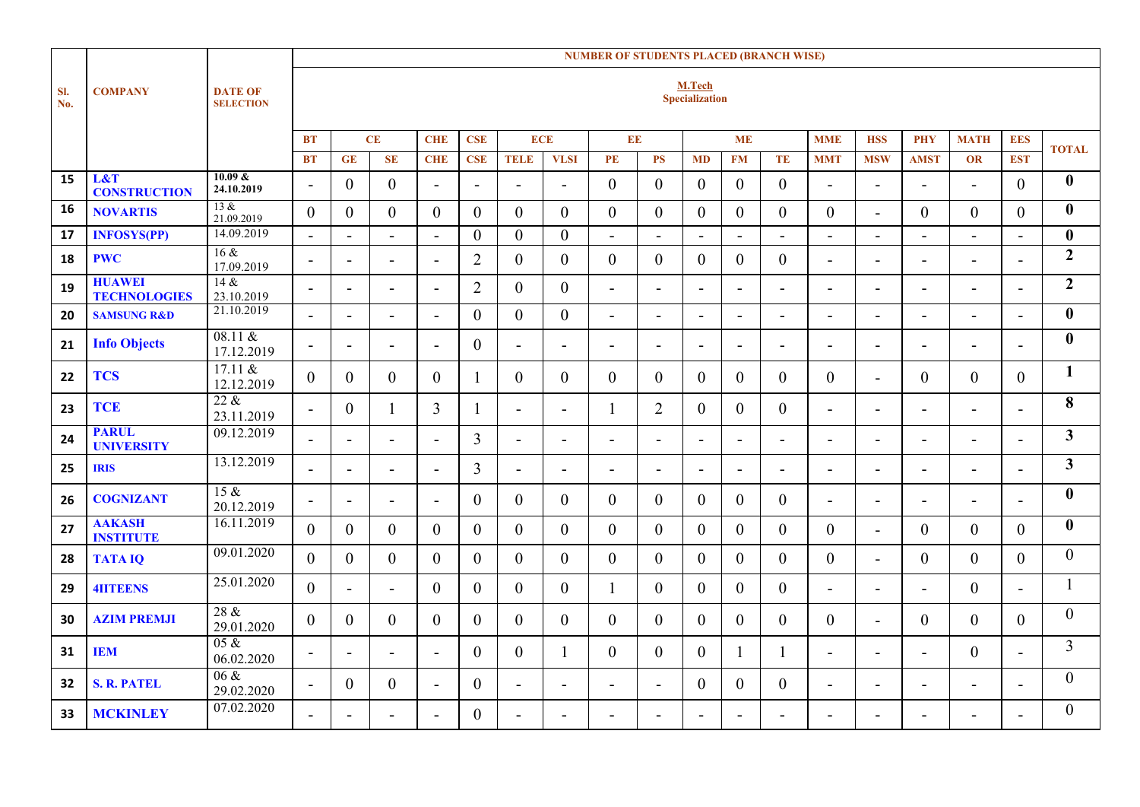|            |                                      |                                    |                          | <b>NUMBER OF STUDENTS PLACED (BRANCH WISE)</b> |                          |                          |                          |                |                          |                          |                          |                |                |                          |                          |                          |                          |                          |                          |                |
|------------|--------------------------------------|------------------------------------|--------------------------|------------------------------------------------|--------------------------|--------------------------|--------------------------|----------------|--------------------------|--------------------------|--------------------------|----------------|----------------|--------------------------|--------------------------|--------------------------|--------------------------|--------------------------|--------------------------|----------------|
| SI.<br>No. | <b>COMPANY</b>                       | <b>DATE OF</b><br><b>SELECTION</b> |                          | M.Tech<br>Specialization                       |                          |                          |                          |                |                          |                          |                          |                |                |                          |                          |                          |                          |                          |                          |                |
|            |                                      |                                    | <b>BT</b>                |                                                | CE                       | <b>CHE</b>               | <b>CSE</b>               | <b>ECE</b>     |                          | EE                       |                          |                | <b>ME</b>      |                          | <b>MME</b>               | <b>HSS</b>               | <b>PHY</b>               | <b>MATH</b>              | <b>EES</b>               |                |
|            |                                      |                                    | <b>BT</b>                | <b>GE</b>                                      | <b>SE</b>                | <b>CHE</b>               | <b>CSE</b>               | <b>TELE</b>    | <b>VLSI</b>              | PE                       | <b>PS</b>                | <b>MD</b>      | <b>FM</b>      | TE                       | <b>MMT</b>               | <b>MSW</b>               | <b>AMST</b>              | <b>OR</b>                | <b>EST</b>               | <b>TOTAL</b>   |
| 15         | L&T<br><b>CONSTRUCTION</b>           | 10.09 &<br>24.10.2019              | $\overline{\phantom{0}}$ | $\mathbf{0}$                                   | $\mathbf{0}$             | $\overline{a}$           | $\overline{\phantom{a}}$ | $\overline{a}$ | $\overline{a}$           | $\overline{0}$           | $\overline{0}$           | $\overline{0}$ | $\overline{0}$ | $\mathbf{0}$             | $\blacksquare$           | $\blacksquare$           | $\overline{a}$           |                          | $\overline{0}$           | $\mathbf{0}$   |
| 16         | <b>NOVARTIS</b>                      | 13 &<br>21.09.2019                 | $\overline{0}$           | $\theta$                                       | $\overline{0}$           | $\overline{0}$           | $\mathbf{0}$             | $\overline{0}$ | $\overline{0}$           | $\overline{0}$           | $\overline{0}$           | $\overline{0}$ | $\overline{0}$ | $\boldsymbol{0}$         | $\boldsymbol{0}$         | $\overline{\phantom{0}}$ | $\mathbf{0}$             | $\overline{0}$           | $\overline{0}$           | $\bf{0}$       |
| 17         | <b>INFOSYS(PP)</b>                   | 14.09.2019                         | $\blacksquare$           | $\blacksquare$                                 | $\blacksquare$           | $\blacksquare$           | $\mathbf{0}$             | $\overline{0}$ | $\boldsymbol{0}$         | $\blacksquare$           | $\blacksquare$           | $\blacksquare$ | $\blacksquare$ | $\overline{\phantom{a}}$ | $\blacksquare$           | $\blacksquare$           | $\blacksquare$           | $\blacksquare$           | $\blacksquare$           | $\bf{0}$       |
| 18         | <b>PWC</b>                           | 16 &<br>17.09.2019                 | $\blacksquare$           | $\blacksquare$                                 | $\blacksquare$           | $\overline{\phantom{0}}$ | $\overline{2}$           | $\overline{0}$ | $\mathbf{0}$             | $\overline{0}$           | $\overline{0}$           | $\overline{0}$ | $\overline{0}$ | $\overline{0}$           | $\blacksquare$           | ÷.                       | $\blacksquare$           | $\overline{a}$           |                          | $\overline{2}$ |
| 19         | <b>HUAWEI</b><br><b>TECHNOLOGIES</b> | 14 &<br>23.10.2019                 | $\overline{\phantom{a}}$ | $\overline{\phantom{a}}$                       | $\overline{\phantom{a}}$ | $\overline{\phantom{a}}$ | $\overline{2}$           | $\overline{0}$ | $\overline{0}$           | $\blacksquare$           | $\blacksquare$           | $\blacksquare$ | $\blacksquare$ | $\overline{\phantom{a}}$ | $\overline{\phantom{a}}$ | $\blacksquare$           | $\overline{\phantom{a}}$ | $\blacksquare$           | $\blacksquare$           | $\overline{2}$ |
| 20         | <b>SAMSUNG R&amp;D</b>               | 21.10.2019                         | $\overline{a}$           | $\blacksquare$                                 | $\blacksquare$           | $\overline{a}$           | $\boldsymbol{0}$         | $\overline{0}$ | $\mathbf{0}$             | $\blacksquare$           | $\blacksquare$           | $\blacksquare$ | $\blacksquare$ | $\blacksquare$           | $\blacksquare$           | $\sim$                   | $\blacksquare$           | $\blacksquare$           | $\blacksquare$           | $\mathbf{0}$   |
| 21         | <b>Info Objects</b>                  | 08.11 &<br>17.12.2019              | $\blacksquare$           | $\overline{\phantom{a}}$                       | $\blacksquare$           | $\overline{\phantom{a}}$ | $\mathbf{0}$             | $\blacksquare$ | $\blacksquare$           | $\blacksquare$           | $\overline{\phantom{a}}$ | $\blacksquare$ | $\blacksquare$ | $\blacksquare$           | $\overline{\phantom{a}}$ | $\blacksquare$           | $\blacksquare$           | $\overline{\phantom{a}}$ | $\blacksquare$           | $\mathbf{0}$   |
| 22         | <b>TCS</b>                           | $17.11 \&$<br>12.12.2019           | $\theta$                 | $\overline{0}$                                 | $\theta$                 | $\theta$                 | 1                        | $\theta$       | $\overline{0}$           | $\overline{0}$           | $\theta$                 | $\overline{0}$ | $\overline{0}$ | $\overline{0}$           | $\overline{0}$           | $\blacksquare$           | $\overline{0}$           | $\overline{0}$           | $\overline{0}$           | $\mathbf{1}$   |
| 23         | <b>TCE</b>                           | $22 \&$<br>23.11.2019              | $\blacksquare$           | $\overline{0}$                                 |                          | 3                        | $\mathbf{1}$             | $\blacksquare$ | $\blacksquare$           |                          | $\overline{2}$           | $\overline{0}$ | $\overline{0}$ | $\overline{0}$           | $\blacksquare$           | $\blacksquare$           | $\blacksquare$           | $\blacksquare$           | $\blacksquare$           | 8              |
| 24         | <b>PARUL</b><br><b>UNIVERSITY</b>    | 09.12.2019                         | $\overline{a}$           | $\blacksquare$                                 | $\overline{a}$           | $\overline{a}$           | $\overline{3}$           | $\blacksquare$ | $\overline{a}$           | $\overline{\phantom{0}}$ | $\blacksquare$           | $\overline{a}$ | $\blacksquare$ | $\overline{a}$           | $\blacksquare$           | $\blacksquare$           | $\overline{a}$           |                          | $\overline{a}$           | 3 <sup>1</sup> |
| 25         | <b>IRIS</b>                          | 13.12.2019                         |                          |                                                |                          | $\overline{\phantom{a}}$ | 3                        | $\blacksquare$ | $\overline{\phantom{a}}$ | $\overline{\phantom{a}}$ | $\overline{\phantom{a}}$ | $\blacksquare$ | $\blacksquare$ | $\blacksquare$           | $\blacksquare$           | $\overline{a}$           | $\overline{a}$           |                          | $\overline{\phantom{0}}$ | 3 <sup>1</sup> |
| 26         | <b>COGNIZANT</b>                     | 15 &<br>20.12.2019                 | $\blacksquare$           | $\blacksquare$                                 | $\blacksquare$           | $\blacksquare$           | $\mathbf{0}$             | $\overline{0}$ | $\overline{0}$           | $\overline{0}$           | $\theta$                 | $\overline{0}$ | $\overline{0}$ | $\overline{0}$           | $\blacksquare$           | $\overline{\phantom{0}}$ | $\overline{\phantom{a}}$ | $\blacksquare$           | $\blacksquare$           | $\mathbf{0}$   |
| 27         | <b>AAKASH</b><br><b>INSTITUTE</b>    | 16.11.2019                         | $\Omega$                 | $\theta$                                       | $\theta$                 | $\Omega$                 | $\theta$                 | $\theta$       | $\mathbf{0}$             | $\overline{0}$           | $\theta$                 | $\theta$       | $\overline{0}$ | $\mathbf{0}$             | $\theta$                 | $\blacksquare$           | $\theta$                 | $\theta$                 | $\Omega$                 | $\bf{0}$       |
| 28         | <b>TATAIQ</b>                        | 09.01.2020                         | $\theta$                 | $\overline{0}$                                 | $\overline{0}$           | $\mathbf{0}$             | $\overline{0}$           | $\overline{0}$ | $\overline{0}$           | $\overline{0}$           | $\overline{0}$           | $\overline{0}$ | $\overline{0}$ | $\overline{0}$           | $\boldsymbol{0}$         | ÷.                       | $\mathbf{0}$             | $\overline{0}$           | $\overline{0}$           | $\overline{0}$ |
| 29         | <b>4IITEENS</b>                      | 25.01.2020                         | $\theta$                 | $\blacksquare$                                 | $\blacksquare$           | $\theta$                 | $\mathbf{0}$             | $\overline{0}$ | $\mathbf{0}$             | 1                        | $\overline{0}$           | $\overline{0}$ | $\overline{0}$ | $\mathbf{0}$             | $\blacksquare$           | $\blacksquare$           | $\overline{\phantom{0}}$ | $\overline{0}$           | $\blacksquare$           | 1              |
| 30         | <b>AZIM PREMJI</b>                   | 28 &<br>29.01.2020                 | $\theta$                 | $\overline{0}$                                 | $\overline{0}$           | $\theta$                 | $\overline{0}$           | $\overline{0}$ | $\overline{0}$           | $\overline{0}$           | $\overline{0}$           | $\overline{0}$ | $\overline{0}$ | $\overline{0}$           | $\theta$                 | $\blacksquare$           | $\overline{0}$           | $\overline{0}$           | $\theta$                 | $\overline{0}$ |
| 31         | <b>IEM</b>                           | $05 \&$<br>06.02.2020              | $\overline{\phantom{a}}$ | $\overline{\phantom{a}}$                       | $\blacksquare$           | $\overline{\phantom{a}}$ | $\overline{0}$           | $\overline{0}$ | -1                       | $\overline{0}$           | $\overline{0}$           | $\overline{0}$ | 1              | 1                        | $\overline{\phantom{a}}$ | $\blacksquare$           | $\blacksquare$           | $\overline{0}$           | $\blacksquare$           | $\overline{3}$ |
| 32         | <b>S. R. PATEL</b>                   | 06 &<br>29.02.2020                 | $\blacksquare$           | $\theta$                                       | $\theta$                 | $\overline{a}$           | $\theta$                 | $\blacksquare$ | $\blacksquare$           | $\blacksquare$           | $\blacksquare$           | $\theta$       | $\theta$       | $\boldsymbol{0}$         | $\blacksquare$           | $\blacksquare$           | $\blacksquare$           | $\overline{\phantom{0}}$ | $\sim$                   | $\theta$       |
| 33         | <b>MCKINLEY</b>                      | 07.02.2020                         |                          |                                                |                          |                          | $\theta$                 |                |                          | -                        |                          |                |                |                          |                          |                          |                          |                          |                          | $\theta$       |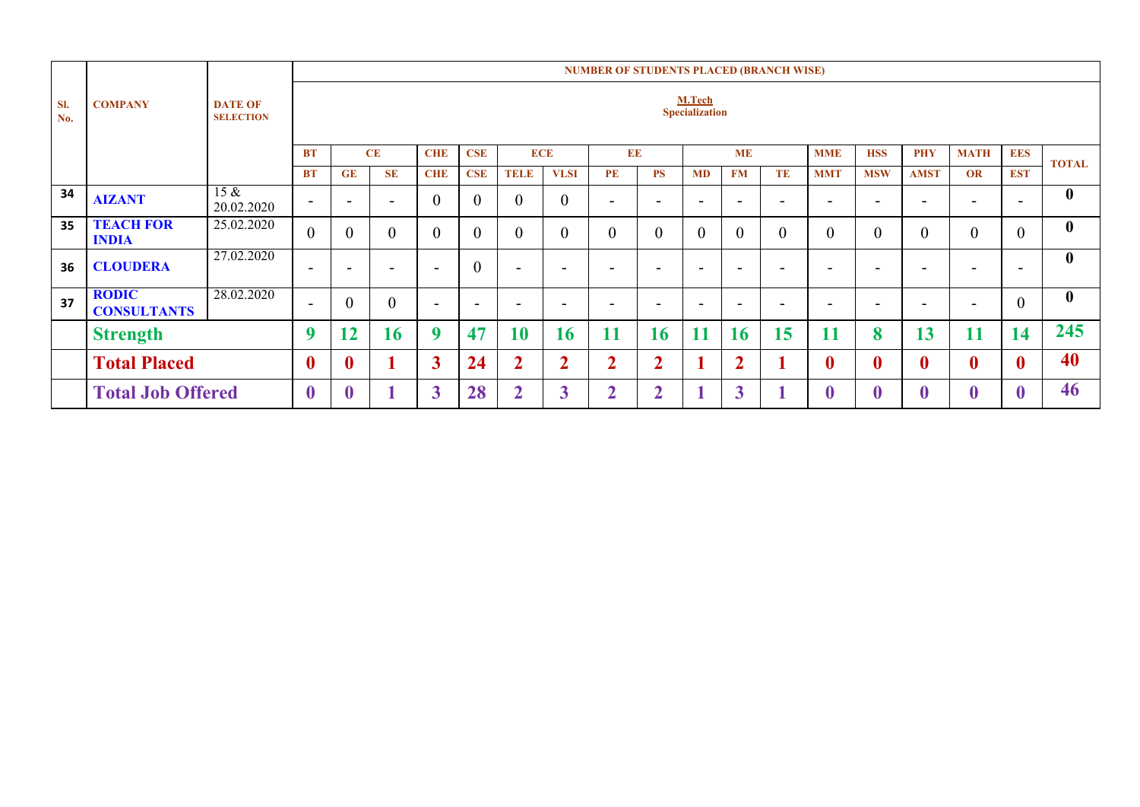|                                                                    |                                    |                       | <b>NUMBER OF STUDENTS PLACED (BRANCH WISE)</b> |                  |                          |                          |                          |                          |                          |                |                |                          |                         |                          |                  |              |                  |              |                |                  |
|--------------------------------------------------------------------|------------------------------------|-----------------------|------------------------------------------------|------------------|--------------------------|--------------------------|--------------------------|--------------------------|--------------------------|----------------|----------------|--------------------------|-------------------------|--------------------------|------------------|--------------|------------------|--------------|----------------|------------------|
| SI.<br><b>COMPANY</b><br><b>DATE OF</b><br>No.<br><b>SELECTION</b> |                                    |                       |                                                |                  |                          |                          |                          | M.Tech<br>Specialization |                          |                |                |                          |                         |                          |                  |              |                  |              |                |                  |
|                                                                    |                                    |                       | <b>BT</b>                                      |                  | CE                       | <b>CHE</b>               | <b>CSE</b>               | <b>ECE</b>               |                          | EE             |                |                          | <b>ME</b>               |                          | <b>MME</b>       | <b>HSS</b>   | <b>PHY</b>       | <b>MATH</b>  | <b>EES</b>     | <b>TOTAL</b>     |
|                                                                    |                                    |                       | <b>BT</b>                                      | GE               | <b>SE</b>                | <b>CHE</b>               | <b>CSE</b>               | <b>TELE</b>              | <b>VLSI</b>              | PE             | <b>PS</b>      | <b>MD</b>                | <b>FM</b>               | <b>TE</b>                | <b>MMT</b>       | <b>MSW</b>   | <b>AMST</b>      | OR           | <b>EST</b>     |                  |
| 34                                                                 | <b>AIZANT</b>                      | $15 \&$<br>20.02.2020 | $\blacksquare$                                 | -                | $\overline{\phantom{a}}$ | $\theta$                 | $\overline{0}$           | $\overline{0}$           | $\overline{0}$           | ۰              |                | $\overline{\phantom{0}}$ |                         | $\overline{\phantom{a}}$ | -                |              |                  |              | -              | $\boldsymbol{0}$ |
| 35                                                                 | <b>TEACH FOR</b><br><b>INDIA</b>   | 25.02.2020            | $\overline{0}$                                 | $\overline{0}$   | $\mathbf{0}$             | $\overline{0}$           | $\overline{0}$           | $\overline{0}$           | $\theta$                 | 0              | $\mathbf{0}$   | $\theta$                 | $\theta$                | $\overline{0}$           | $\theta$         |              | $\boldsymbol{0}$ | $\mathbf{0}$ | $\theta$       | $\boldsymbol{0}$ |
| 36                                                                 | <b>CLOUDERA</b>                    | 27.02.2020            | $\blacksquare$                                 | -                | $\overline{\phantom{0}}$ | $\overline{\phantom{0}}$ | $\overline{0}$           |                          | $\overline{\phantom{0}}$ | -              | ۰              | -                        |                         | $\overline{\phantom{a}}$ | -                | -            |                  | -            | -              | $\bf{0}$         |
| 37                                                                 | <b>RODIC</b><br><b>CONSULTANTS</b> | 28.02.2020            | $\blacksquare$                                 | $\overline{0}$   | $\boldsymbol{0}$         | -                        | $\overline{\phantom{a}}$ |                          | $\overline{\phantom{0}}$ | -              |                | -                        |                         | $\overline{\phantom{0}}$ | -                |              |                  |              | $\overline{0}$ | $\boldsymbol{0}$ |
|                                                                    | <b>Strength</b>                    |                       | 9                                              | 12               | 16                       | $\mathbf Q$              | 47                       | 10                       | 16                       | 11             | 16             | 11                       | 16                      | 15                       | 11               | 8            | 13               | 11           | 14             | 245              |
|                                                                    | <b>Total Placed</b>                |                       | $\boldsymbol{0}$                               | $\boldsymbol{0}$ | и                        | 3                        | 24                       | $\overline{2}$           | $\overline{2}$           | $\overline{2}$ | $\overline{2}$ | 1                        | $\overline{2}$          |                          | $\boldsymbol{0}$ | $\mathbf{0}$ | $\boldsymbol{0}$ | $\bf{0}$     | $\mathbf{0}$   | 40               |
|                                                                    | <b>Total Job Offered</b>           |                       | $\boldsymbol{0}$                               | $\bf{0}$         |                          | 3                        | 28                       | $\overline{\mathbf{2}}$  | $\boldsymbol{3}$         | <sub>1</sub>   | C              |                          | $\overline{\mathbf{3}}$ |                          | $\bf{0}$         |              | $\bf{0}$         | $\bf{0}$     |                | 46               |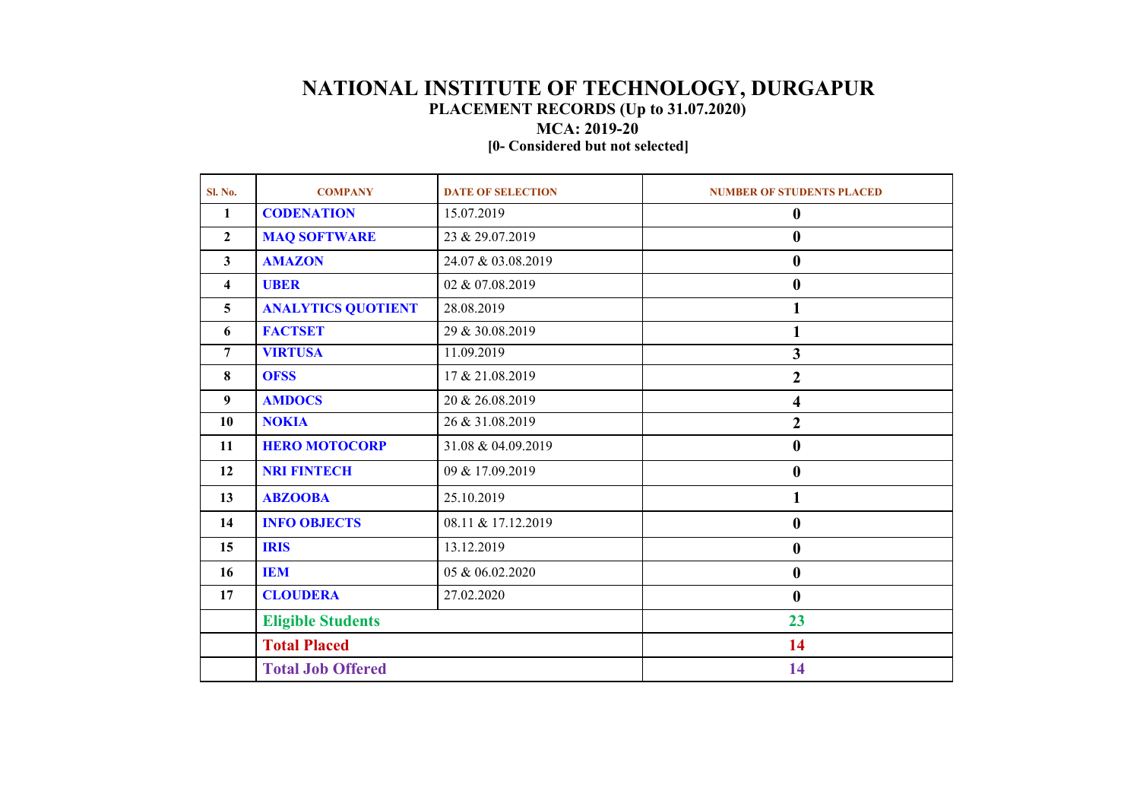## **NATIONAL INSTITUTE OF TECHNOLOGY, DURGAPUR PLACEMENT RECORDS (Up to 31.07.2020)**

**MCA: 2019-20**

**[0- Considered but not selected]**

| Sl. No.                 | <b>COMPANY</b>            | <b>DATE OF SELECTION</b> | <b>NUMBER OF STUDENTS PLACED</b> |  |  |  |  |
|-------------------------|---------------------------|--------------------------|----------------------------------|--|--|--|--|
| $\mathbf{1}$            | <b>CODENATION</b>         | 15.07.2019               | $\boldsymbol{0}$                 |  |  |  |  |
| $\mathbf{2}$            | <b>MAQ SOFTWARE</b>       | 23 & 29.07.2019          | $\bf{0}$                         |  |  |  |  |
| $\mathbf{3}$            | <b>AMAZON</b>             | 24.07 & 03.08.2019       | $\boldsymbol{0}$                 |  |  |  |  |
| $\overline{\mathbf{4}}$ | <b>UBER</b>               | 02 & 07.08.2019          | $\bf{0}$                         |  |  |  |  |
| 5                       | <b>ANALYTICS QUOTIENT</b> | 28.08.2019               | 1                                |  |  |  |  |
| 6                       | <b>FACTSET</b>            | 29 & 30.08.2019          | 1                                |  |  |  |  |
| 7                       | <b>VIRTUSA</b>            | 11.09.2019               | $\overline{\mathbf{3}}$          |  |  |  |  |
| 8                       | <b>OFSS</b>               | 17 & 21.08.2019          | $\boldsymbol{2}$                 |  |  |  |  |
| 9                       | <b>AMDOCS</b>             | 20 & 26.08.2019          | 4                                |  |  |  |  |
| 10                      | <b>NOKIA</b>              | 26 & 31.08.2019          | $\overline{2}$                   |  |  |  |  |
| 11                      | <b>HERO MOTOCORP</b>      | 31.08 & 04.09.2019       | $\boldsymbol{0}$                 |  |  |  |  |
| 12                      | <b>NRI FINTECH</b>        | 09 & 17.09.2019          | $\boldsymbol{0}$                 |  |  |  |  |
| 13                      | <b>ABZOOBA</b>            | 25.10.2019               | 1                                |  |  |  |  |
| 14                      | <b>INFO OBJECTS</b>       | 08.11 & 17.12.2019       | $\boldsymbol{0}$                 |  |  |  |  |
| 15                      | <b>IRIS</b>               | 13.12.2019               | $\boldsymbol{0}$                 |  |  |  |  |
| 16                      | <b>IEM</b>                | 05 & 06.02.2020          | $\boldsymbol{0}$                 |  |  |  |  |
| 17                      | <b>CLOUDERA</b>           | 27.02.2020               | $\bf{0}$                         |  |  |  |  |
|                         | <b>Eligible Students</b>  |                          | 23                               |  |  |  |  |
|                         | <b>Total Placed</b>       |                          | 14                               |  |  |  |  |
|                         | <b>Total Job Offered</b>  |                          | 14                               |  |  |  |  |